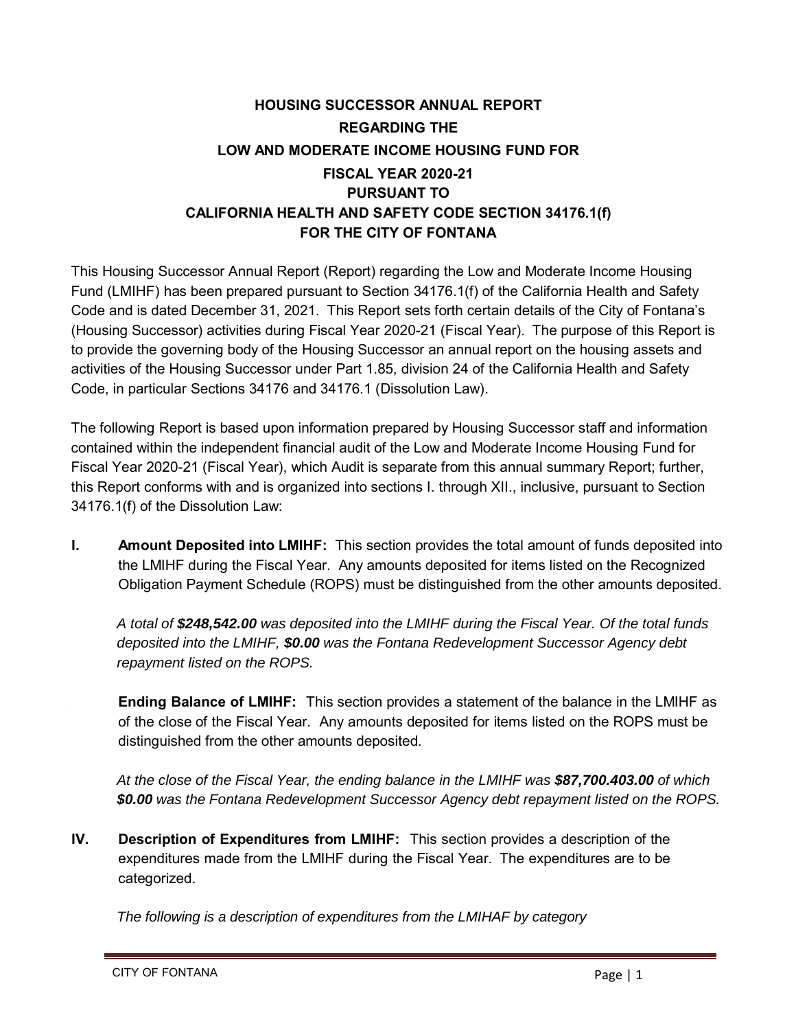## **HOUSING SUCCESSOR ANNUAL REPORT REGARDING THE LOW AND MODERATE INCOME HOUSING FUND FOR FISCAL YEAR 2020-21 PURSUANT TO CALIFORNIA HEALTH AND SAFETY CODE SECTION 34176.1(f) FOR THE CITY OF FONTANA**

This Housing Successor Annual Report (Report) regarding the Low and Moderate Income Housing Fund (LMIHF) has been prepared pursuant to Section 34176.1(f) of the California Health and Safety Code and is dated December 31, 2021. This Report sets forth certain details of the City of Fontana's (Housing Successor) activities during Fiscal Year 2020-21 (Fiscal Year). The purpose of this Report is to provide the governing body of the Housing Successor an annual report on the housing assets and activities of the Housing Successor under Part 1.85, division 24 of the California Health and Safety Code, in particular Sections 34176 and 34176.1 (Dissolution Law).

The following Report is based upon information prepared by Housing Successor staff and information contained within the independent financial audit of the Low and Moderate Income Housing Fund for Fiscal Year 2020-21 (Fiscal Year), which Audit is separate from this annual summary Report; further, this Report conforms with and is organized into sections I. through XII., inclusive, pursuant to Section 34176.1(f) of the Dissolution Law:

**I. Amount Deposited into LMIHF:** This section provides the total amount of funds deposited into the LMIHF during the Fiscal Year. Any amounts deposited for items listed on the Recognized Obligation Payment Schedule (ROPS) must be distinguished from the other amounts deposited.

*A total of \$248,542.00 was deposited into the LMIHF during the Fiscal Year. Of the total funds deposited into the LMIHF, \$0.00 was the Fontana Redevelopment Successor Agency debt repayment listed on the ROPS.*

**Ending Balance of LMIHF:** This section provides a statement of the balance in the LMIHF as of the close of the Fiscal Year. Any amounts deposited for items listed on the ROPS must be distinguished from the other amounts deposited.

*At the close of the Fiscal Year, the ending balance in the LMIHF was \$87,700.403.00 of which \$0.00 was the Fontana Redevelopment Successor Agency debt repayment listed on the ROPS.*

**IV. Description of Expenditures from LMIHF:** This section provides a description of the expenditures made from the LMIHF during the Fiscal Year. The expenditures are to be categorized.

*The following is a description of expenditures from the LMIHAF by category*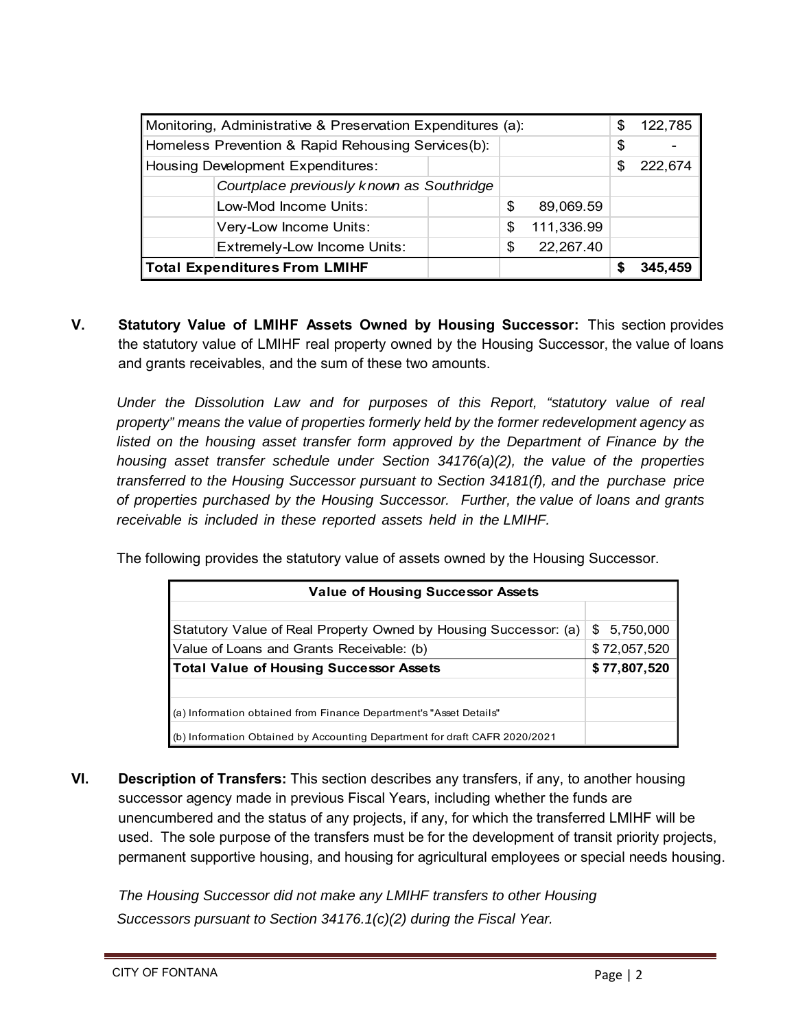| Monitoring, Administrative & Preservation Expenditures (a): |                                           |  |    |            | \$      | 122,785 |
|-------------------------------------------------------------|-------------------------------------------|--|----|------------|---------|---------|
| Homeless Prevention & Rapid Rehousing Services(b):          |                                           |  |    |            | \$      |         |
| Housing Development Expenditures:                           |                                           |  |    | \$.        | 222,674 |         |
|                                                             | Courtplace previously known as Southridge |  |    |            |         |         |
| Low-Mod Income Units:                                       |                                           |  | S  | 89,069.59  |         |         |
| Very-Low Income Units:                                      |                                           |  | \$ | 111,336.99 |         |         |
|                                                             | <b>Extremely-Low Income Units:</b>        |  | \$ | 22,267.40  |         |         |
| <b>Total Expenditures From LMIHF</b>                        |                                           |  |    |            | 345.459 |         |

**V. Statutory Value of LMIHF Assets Owned by Housing Successor:** This section provides the statutory value of LMIHF real property owned by the Housing Successor, the value of loans and grants receivables, and the sum of these two amounts.

*Under the Dissolution Law and for purposes of this Report, "statutory value of real property" means the value of properties formerly held by the former redevelopment agency as*  listed on the housing asset transfer form approved by the Department of Finance by the *housing asset transfer schedule under Section 34176(a)(2), the value of the properties transferred to the Housing Successor pursuant to Section 34181(f), and the purchase price of properties purchased by the Housing Successor. Further, the value of loans and grants receivable is included in these reported assets held in the LMIHF.* 

The following provides the statutory value of assets owned by the Housing Successor.

| <b>Value of Housing Successor Assets</b>                                   |              |  |  |
|----------------------------------------------------------------------------|--------------|--|--|
|                                                                            |              |  |  |
| Statutory Value of Real Property Owned by Housing Successor: (a)           | \$5,750,000  |  |  |
| Value of Loans and Grants Receivable: (b)                                  | \$72,057,520 |  |  |
| <b>Total Value of Housing Successor Assets</b>                             | \$77,807,520 |  |  |
|                                                                            |              |  |  |
| (a) Information obtained from Finance Department's "Asset Details"         |              |  |  |
| (b) Information Obtained by Accounting Department for draft CAFR 2020/2021 |              |  |  |

**VI. Description of Transfers:** This section describes any transfers, if any, to another housing successor agency made in previous Fiscal Years, including whether the funds are unencumbered and the status of any projects, if any, for which the transferred LMIHF will be used. The sole purpose of the transfers must be for the development of transit priority projects, permanent supportive housing, and housing for agricultural employees or special needs housing.

*The Housing Successor did not make any LMIHF transfers to other Housing Successors pursuant to Section 34176.1(c)(2) during the Fiscal Year.*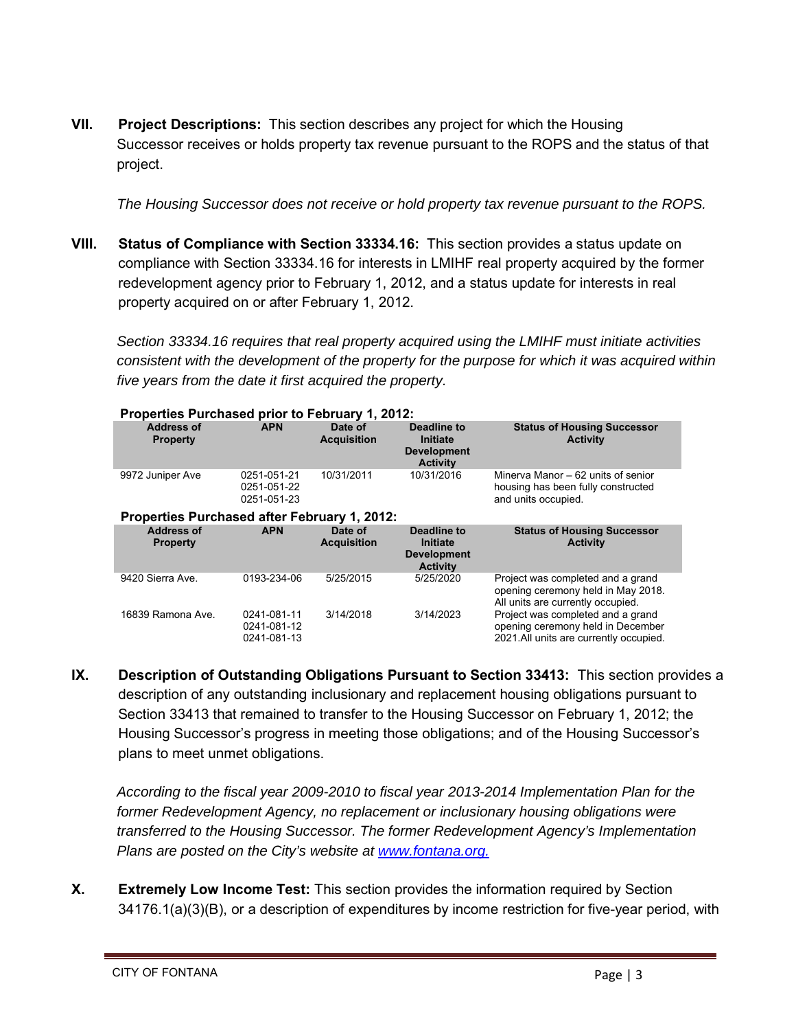**VII. Project Descriptions:** This section describes any project for which the Housing Successor receives or holds property tax revenue pursuant to the ROPS and the status of that project.

*The Housing Successor does not receive or hold property tax revenue pursuant to the ROPS.* 

**VIII. Status of Compliance with Section 33334.16:** This section provides a status update on compliance with Section 33334.16 for interests in LMIHF real property acquired by the former redevelopment agency prior to February 1, 2012, and a status update for interests in real property acquired on or after February 1, 2012.

Section 33334.16 requires that real property acquired using the LMIHF must initiate activities *consistent with the development of the property for the purpose for which it was acquired within five years from the date it first acquired the property.* 

| Properties Purchased prior to February 1, 2012:     |                                           |                               |                                                                  |                                                                                                              |  |
|-----------------------------------------------------|-------------------------------------------|-------------------------------|------------------------------------------------------------------|--------------------------------------------------------------------------------------------------------------|--|
| <b>Address of</b><br><b>Property</b>                | <b>APN</b>                                | Date of<br><b>Acquisition</b> | Deadline to<br>Initiate<br><b>Development</b><br><b>Activity</b> | <b>Status of Housing Successor</b><br><b>Activity</b>                                                        |  |
| 9972 Juniper Ave                                    | 0251-051-21<br>0251-051-22<br>0251-051-23 | 10/31/2011                    | 10/31/2016                                                       | Minerva Manor – 62 units of senior<br>housing has been fully constructed<br>and units occupied.              |  |
| <b>Properties Purchased after February 1, 2012:</b> |                                           |                               |                                                                  |                                                                                                              |  |
| <b>Address of</b><br><b>Property</b>                | <b>APN</b>                                | Date of<br><b>Acquisition</b> | Deadline to<br>Initiate<br><b>Development</b><br><b>Activity</b> | <b>Status of Housing Successor</b><br><b>Activity</b>                                                        |  |
|                                                     |                                           |                               |                                                                  |                                                                                                              |  |
| 9420 Sierra Ave.                                    | 0193-234-06                               | 5/25/2015                     | 5/25/2020                                                        | Project was completed and a grand<br>opening ceremony held in May 2018.<br>All units are currently occupied. |  |

**IX. Description of Outstanding Obligations Pursuant to Section 33413:** This section provides a description of any outstanding inclusionary and replacement housing obligations pursuant to Section 33413 that remained to transfer to the Housing Successor on February 1, 2012; the Housing Successor's progress in meeting those obligations; and of the Housing Successor's plans to meet unmet obligations.

*According to the fiscal year 2009-2010 to fiscal year 2013-2014 Implementation Plan for the former Redevelopment Agency, no replacement or inclusionary housing obligations were transferred to the Housing Successor. The former Redevelopment Agency's Implementation Plans are posted on the City's website at www.fontana.org.*

**X. Extremely Low Income Test:** This section provides the information required by Section 34176.1(a)(3)(B), or a description of expenditures by income restriction for five-year period, with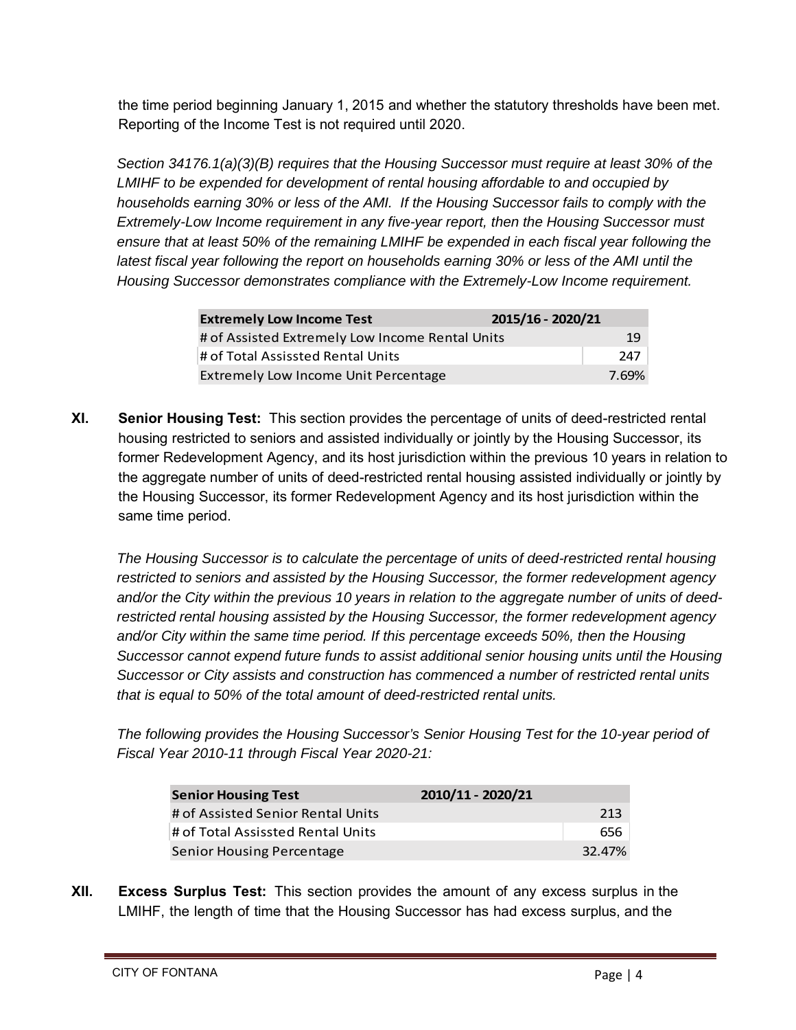the time period beginning January 1, 2015 and whether the statutory thresholds have been met. Reporting of the Income Test is not required until 2020.

*Section 34176.1(a)(3)(B) requires that the Housing Successor must require at least 30% of the LMIHF to be expended for development of rental housing affordable to and occupied by households earning 30% or less of the AMI. If the Housing Successor fails to comply with the Extremely-Low Income requirement in any five-year report, then the Housing Successor must ensure that at least 50% of the remaining LMIHF be expended in each fiscal year following the*  latest fiscal year following the report on households earning 30% or less of the AMI until the *Housing Successor demonstrates compliance with the Extremely-Low Income requirement.* 

| <b>Extremely Low Income Test</b>                | 2015/16 - 2020/21 |
|-------------------------------------------------|-------------------|
| # of Assisted Extremely Low Income Rental Units | 19                |
| # of Total Assissted Rental Units               | 247               |
| Extremely Low Income Unit Percentage            | 7.69%             |

**XI. Senior Housing Test:** This section provides the percentage of units of deed-restricted rental housing restricted to seniors and assisted individually or jointly by the Housing Successor, its former Redevelopment Agency, and its host jurisdiction within the previous 10 years in relation to the aggregate number of units of deed-restricted rental housing assisted individually or jointly by the Housing Successor, its former Redevelopment Agency and its host jurisdiction within the same time period.

*The Housing Successor is to calculate the percentage of units of deed-restricted rental housing restricted to seniors and assisted by the Housing Successor, the former redevelopment agency and/or the City within the previous 10 years in relation to the aggregate number of units of deedrestricted rental housing assisted by the Housing Successor, the former redevelopment agency and/or City within the same time period. If this percentage exceeds 50%, then the Housing Successor cannot expend future funds to assist additional senior housing units until the Housing Successor or City assists and construction has commenced a number of restricted rental units that is equal to 50% of the total amount of deed-restricted rental units.*

*The following provides the Housing Successor's Senior Housing Test for the 10-year period of Fiscal Year 2010-11 through Fiscal Year 2020-21:* 

| <b>Senior Housing Test</b>        | 2010/11 - 2020/21 |        |
|-----------------------------------|-------------------|--------|
| # of Assisted Senior Rental Units |                   | 213    |
| # of Total Assissted Rental Units |                   | 656    |
| Senior Housing Percentage         |                   | 32.47% |

**XII. Excess Surplus Test:** This section provides the amount of any excess surplus in the LMIHF, the length of time that the Housing Successor has had excess surplus, and the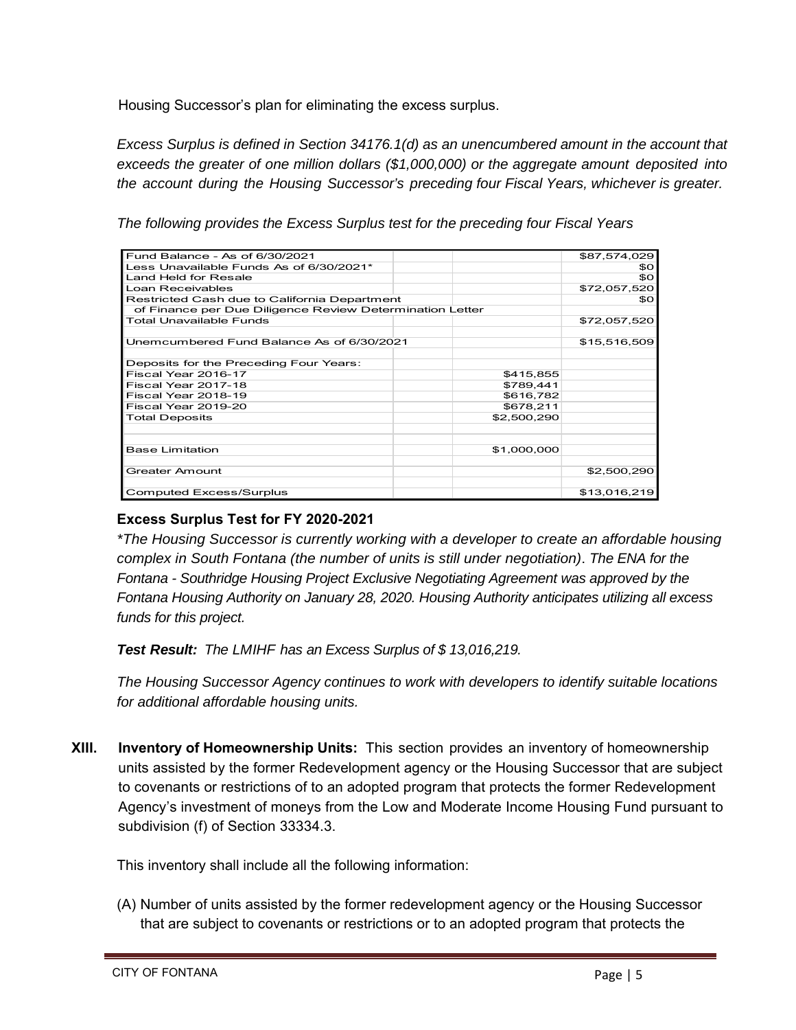Housing Successor's plan for eliminating the excess surplus.

*Excess Surplus is defined in Section 34176.1(d) as an unencumbered amount in the account that exceeds the greater of one million dollars (\$1,000,000) or the aggregate amount deposited into the account during the Housing Successor's preceding four Fiscal Years, whichever is greater.*

*The following provides the Excess Surplus test for the preceding four Fiscal Years* 

| Fund Balance - As of 6/30/2021                           |             | \$87,574,029    |
|----------------------------------------------------------|-------------|-----------------|
| Less Unavailable Funds As of 6/30/2021*                  |             | \$0             |
| Land Held for Resale                                     |             | SO <sub>2</sub> |
| Loan Receivables                                         |             | \$72,057,520    |
| Restricted Cash due to California Department             | \$O         |                 |
| of Finance per Due Diligence Review Determination Letter |             |                 |
| <b>Total Unavailable Funds</b>                           |             | \$72,057,520    |
|                                                          |             |                 |
| Unemcumbered Fund Balance As of 6/30/2021                |             | \$15,516,509    |
|                                                          |             |                 |
| Deposits for the Preceding Four Years:                   |             |                 |
| Fiscal Year 2016-17                                      | \$415,855   |                 |
| Fiscal Year 2017-18                                      | \$789,441   |                 |
| Fiscal Year 2018-19                                      | \$616,782   |                 |
| Fiscal Year 2019-20                                      | \$678,211   |                 |
| <b>Total Deposits</b>                                    | \$2,500,290 |                 |
|                                                          |             |                 |
|                                                          |             |                 |
| <b>Base Limitation</b>                                   | \$1,000,000 |                 |
|                                                          |             |                 |
| Greater Amount                                           |             | \$2,500,290     |
|                                                          |             |                 |
| <b>Computed Excess/Surplus</b>                           |             | \$13,016,219    |

## **Excess Surplus Test for FY 2020-2021**

*\*The Housing Successor is currently working with a developer to create an affordable housing complex in South Fontana (the number of units is still under negotiation)*. *The ENA for the Fontana - Southridge Housing Project Exclusive Negotiating Agreement was approved by the Fontana Housing Authority on January 28, 2020. Housing Authority anticipates utilizing all excess funds for this project.* 

*Test Result: The LMIHF has an Excess Surplus of \$ 13,016,219.* 

*The Housing Successor Agency continues to work with developers to identify suitable locations for additional affordable housing units.* 

**XIII. Inventory of Homeownership Units:** This section provides an inventory of homeownership units assisted by the former Redevelopment agency or the Housing Successor that are subject to covenants or restrictions of to an adopted program that protects the former Redevelopment Agency's investment of moneys from the Low and Moderate Income Housing Fund pursuant to subdivision (f) of Section 33334.3.

This inventory shall include all the following information:

(A) Number of units assisted by the former redevelopment agency or the Housing Successor that are subject to covenants or restrictions or to an adopted program that protects the